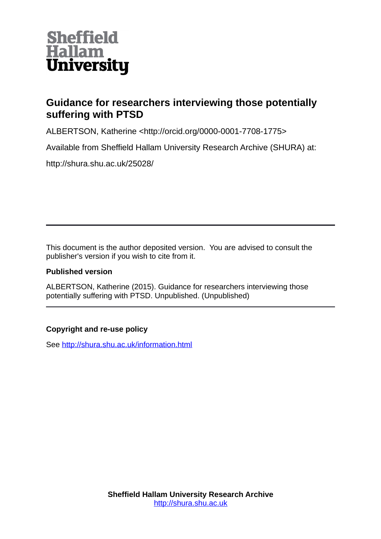

## **Guidance for researchers interviewing those potentially suffering with PTSD**

ALBERTSON, Katherine <http://orcid.org/0000-0001-7708-1775>

Available from Sheffield Hallam University Research Archive (SHURA) at:

http://shura.shu.ac.uk/25028/

This document is the author deposited version. You are advised to consult the publisher's version if you wish to cite from it.

## **Published version**

ALBERTSON, Katherine (2015). Guidance for researchers interviewing those potentially suffering with PTSD. Unpublished. (Unpublished)

## **Copyright and re-use policy**

See<http://shura.shu.ac.uk/information.html>